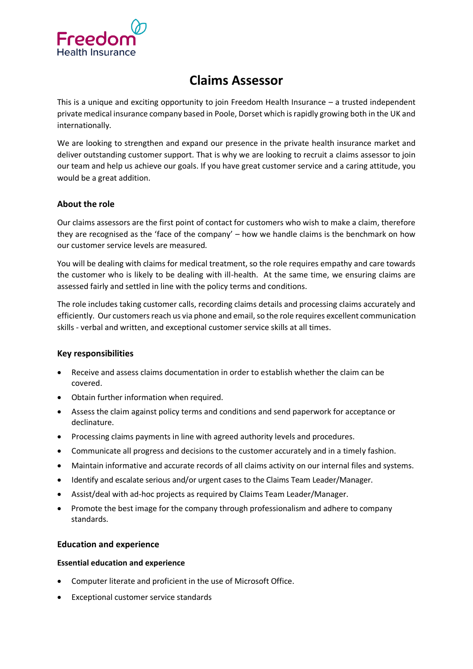

# **Claims Assessor**

This is a unique and exciting opportunity to join Freedom Health Insurance – a trusted independent private medical insurance company based in Poole, Dorset which is rapidly growing both in the UK and internationally.

We are looking to strengthen and expand our presence in the private health insurance market and deliver outstanding customer support. That is why we are looking to recruit a claims assessor to join our team and help us achieve our goals. If you have great customer service and a caring attitude, you would be a great addition.

## **About the role**

Our claims assessors are the first point of contact for customers who wish to make a claim, therefore they are recognised as the 'face of the company' – how we handle claims is the benchmark on how our customer service levels are measured.

You will be dealing with claims for medical treatment, so the role requires empathy and care towards the customer who is likely to be dealing with ill-health. At the same time, we ensuring claims are assessed fairly and settled in line with the policy terms and conditions.

The role includes taking customer calls, recording claims details and processing claims accurately and efficiently. Our customers reach us via phone and email, so the role requires excellent communication skills - verbal and written, and exceptional customer service skills at all times.

#### **Key responsibilities**

- Receive and assess claims documentation in order to establish whether the claim can be covered.
- Obtain further information when required.
- Assess the claim against policy terms and conditions and send paperwork for acceptance or declinature.
- Processing claims payments in line with agreed authority levels and procedures.
- Communicate all progress and decisions to the customer accurately and in a timely fashion.
- Maintain informative and accurate records of all claims activity on our internal files and systems.
- Identify and escalate serious and/or urgent cases to the Claims Team Leader/Manager.
- Assist/deal with ad-hoc projects as required by Claims Team Leader/Manager.
- Promote the best image for the company through professionalism and adhere to company standards.

#### **Education and experience**

#### **Essential education and experience**

- Computer literate and proficient in the use of Microsoft Office.
- Exceptional customer service standards